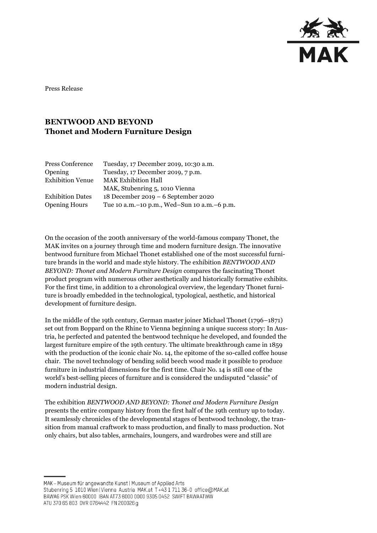

Press Release

## **BENTWOOD AND BEYOND Thonet and Modern Furniture Design**

| Press Conference        | Tuesday, 17 December 2019, 10:30 a.m.           |
|-------------------------|-------------------------------------------------|
| Opening                 | Tuesday, 17 December 2019, 7 p.m.               |
| <b>Exhibition Venue</b> | <b>MAK Exhibition Hall</b>                      |
|                         | MAK, Stubenring 5, 1010 Vienna                  |
| <b>Exhibition Dates</b> | 18 December 2019 – 6 September 2020             |
| <b>Opening Hours</b>    | Tue 10 a.m. – 10 p.m., Wed–Sun 10 a.m. – 6 p.m. |

On the occasion of the 200th anniversary of the world-famous company Thonet, the MAK invites on a journey through time and modern furniture design. The innovative bentwood furniture from Michael Thonet established one of the most successful furniture brands in the world and made style history. The exhibition *BENTWOOD AND BEYOND: Thonet and Modern Furniture Design* compares the fascinating Thonet product program with numerous other aesthetically and historically formative exhibits. For the first time, in addition to a chronological overview, the legendary Thonet furniture is broadly embedded in the technological, typological, aesthetic, and historical development of furniture design.

In the middle of the 19th century, German master joiner Michael Thonet (1796–1871) set out from Boppard on the Rhine to Vienna beginning a unique success story: In Austria, he perfected and patented the bentwood technique he developed, and founded the largest furniture empire of the 19th century. The ultimate breakthrough came in 1859 with the production of the iconic chair No. 14, the epitome of the so-called coffee house chair. The novel technology of bending solid beech wood made it possible to produce furniture in industrial dimensions for the first time. Chair No. 14 is still one of the world's best-selling pieces of furniture and is considered the undisputed "classic" of modern industrial design.

The exhibition *BENTWOOD AND BEYOND: Thonet and Modern Furniture Design* presents the entire company history from the first half of the 19th century up to today. It seamlessly chronicles of the developmental stages of bentwood technology, the transition from manual craftwork to mass production, and finally to mass production. Not only chairs, but also tables, armchairs, loungers, and wardrobes were and still are

MAK - Museum für angewandte Kunst | Museum of Applied Arts Stubenring 5 1010 Wien | Vienna Austria MAK.at T+43 1 711 36-0 office@MAK.at BAWAG PSK Wien 60000 IBAN AT73 6000 0000 9305 0452 SWIFT BAWAATWW ATU 370 65 803 DVR 0764442 FN 200026 g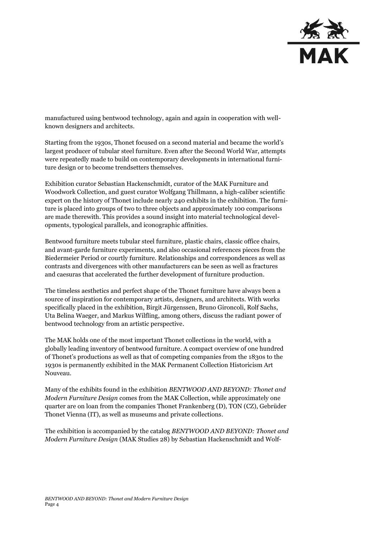

manufactured using bentwood technology, again and again in cooperation with wellknown designers and architects.

Starting from the 1930s, Thonet focused on a second material and became the world's largest producer of tubular steel furniture. Even after the Second World War, attempts were repeatedly made to build on contemporary developments in international furniture design or to become trendsetters themselves.

Exhibition curator Sebastian Hackenschmidt, curator of the MAK Furniture and Woodwork Collection, and guest curator Wolfgang Thillmann, a high-caliber scientific expert on the history of Thonet include nearly 240 exhibits in the exhibition. The furniture is placed into groups of two to three objects and approximately 100 comparisons are made therewith. This provides a sound insight into material technological developments, typological parallels, and iconographic affinities.

Bentwood furniture meets tubular steel furniture, plastic chairs, classic office chairs, and avant-garde furniture experiments, and also occasional references pieces from the Biedermeier Period or courtly furniture. Relationships and correspondences as well as contrasts and divergences with other manufacturers can be seen as well as fractures and caesuras that accelerated the further development of furniture production.

The timeless aesthetics and perfect shape of the Thonet furniture have always been a source of inspiration for contemporary artists, designers, and architects. With works specifically placed in the exhibition, Birgit Jürgenssen, Bruno Gironcoli, Rolf Sachs, Uta Belina Waeger, and Markus Wilfling, among others, discuss the radiant power of bentwood technology from an artistic perspective.

The MAK holds one of the most important Thonet collections in the world, with a globally leading inventory of bentwood furniture. A compact overview of one hundred of Thonet's productions as well as that of competing companies from the 1830s to the 1930s is permanently exhibited in the MAK Permanent Collection Historicism Art Nouveau.

Many of the exhibits found in the exhibition *BENTWOOD AND BEYOND: Thonet and Modern Furniture Design* comes from the MAK Collection, while approximately one quarter are on loan from the companies Thonet Frankenberg (D), TON (CZ), Gebrüder Thonet Vienna (IT), as well as museums and private collections.

The exhibition is accompanied by the catalog *BENTWOOD AND BEYOND: Thonet and Modern Furniture Design* (MAK Studies 28) by Sebastian Hackenschmidt and Wolf-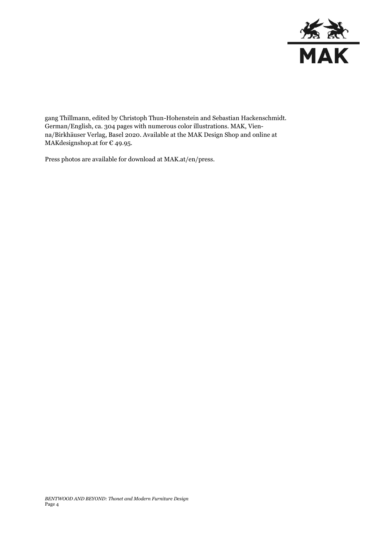

gang Thillmann, edited by Christoph Thun-Hohenstein and Sebastian Hackenschmidt. German/English, ca. 304 pages with numerous color illustrations. MAK, Vienna/Birkhäuser Verlag, Basel 2020. Available at the MAK Design Shop and online at MAK designshop.at for  $\epsilon$  49.95.

Press photos are available for download at MAK.at/en/press.